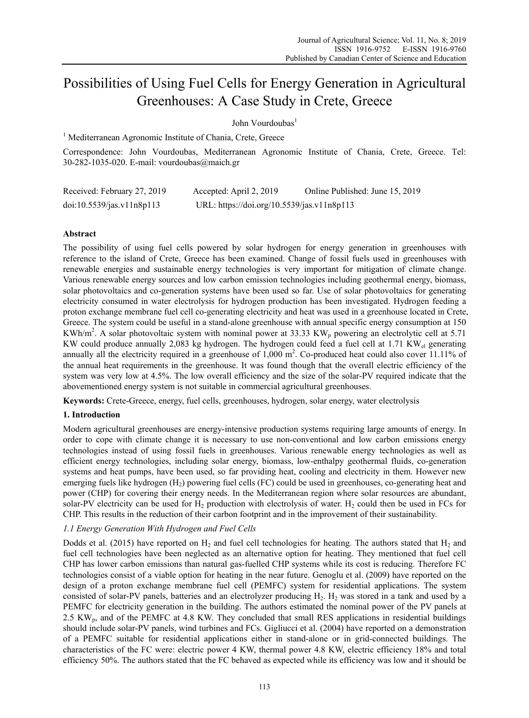# Possibilities of Using Fuel Cells for Energy Generation in Agricultural Greenhouses: A Case Study in Crete, Greece

John Vourdoubas<sup>1</sup>

<sup>1</sup> Mediterranean Agronomic Institute of Chania, Crete, Greece

Correspondence: John Vourdoubas, Mediterranean Agronomic Institute of Chania, Crete, Greece. Tel: 30-282-1035-020. E-mail: vourdoubas@maich.gr

| Received: February 27, 2019 | Accepted: April 2, 2019                    | Online Published: June 15, 2019 |
|-----------------------------|--------------------------------------------|---------------------------------|
| doi:10.5539/jas.v11n8p113   | URL: https://doi.org/10.5539/jas.v11n8p113 |                                 |

## **Abstract**

The possibility of using fuel cells powered by solar hydrogen for energy generation in greenhouses with reference to the island of Crete, Greece has been examined. Change of fossil fuels used in greenhouses with renewable energies and sustainable energy technologies is very important for mitigation of climate change. Various renewable energy sources and low carbon emission technologies including geothermal energy, biomass, solar photovoltaics and co-generation systems have been used so far. Use of solar photovoltaics for generating electricity consumed in water electrolysis for hydrogen production has been investigated. Hydrogen feeding a proton exchange membrane fuel cell co-generating electricity and heat was used in a greenhouse located in Crete, Greece. The system could be useful in a stand-alone greenhouse with annual specific energy consumption at 150 KWh/m<sup>2</sup>. A solar photovoltaic system with nominal power at 33.33 KW<sub>p</sub> powering an electrolytic cell at 5.71 KW could produce annually 2,083 kg hydrogen. The hydrogen could feed a fuel cell at 1.71 KW<sub>el</sub> generating annually all the electricity required in a greenhouse of  $1,000 \text{ m}^2$ . Co-produced heat could also cover 11.11% of the annual heat requirements in the greenhouse. It was found though that the overall electric efficiency of the system was very low at 4.5%. The low overall efficiency and the size of the solar-PV required indicate that the abovementioned energy system is not suitable in commercial agricultural greenhouses.

**Keywords:** Crete-Greece, energy, fuel cells, greenhouses, hydrogen, solar energy, water electrolysis

## **1. Introduction**

Modern agricultural greenhouses are energy-intensive production systems requiring large amounts of energy. In order to cope with climate change it is necessary to use non-conventional and low carbon emissions energy technologies instead of using fossil fuels in greenhouses. Various renewable energy technologies as well as efficient energy technologies, including solar energy, biomass, low-enthalpy geothermal fluids, co-generation systems and heat pumps, have been used, so far providing heat, cooling and electricity in them. However new emerging fuels like hydrogen (H<sub>2</sub>) powering fuel cells (FC) could be used in greenhouses, co-generating heat and power (CHP) for covering their energy needs. In the Mediterranean region where solar resources are abundant, solar-PV electricity can be used for  $H_2$  production with electrolysis of water.  $H_2$  could then be used in FCs for CHP. This results in the reduction of their carbon footprint and in the improvement of their sustainability.

# *1.1 Energy Generation With Hydrogen and Fuel Cells*

Dodds et al. (2015) have reported on  $H_2$  and fuel cell technologies for heating. The authors stated that  $H_2$  and fuel cell technologies have been neglected as an alternative option for heating. They mentioned that fuel cell CHP has lower carbon emissions than natural gas-fuelled CHP systems while its cost is reducing. Therefore FC technologies consist of a viable option for heating in the near future. Genoglu et al. (2009) have reported on the design of a proton exchange membrane fuel cell (PEMFC) system for residential applications. The system consisted of solar-PV panels, batteries and an electrolyzer producing H<sub>2</sub>. H<sub>2</sub> was stored in a tank and used by a PEMFC for electricity generation in the building. The authors estimated the nominal power of the PV panels at 2.5 KWp, and of the PEMFC at 4.8 KW. They concluded that small RES applications in residential buildings should include solar-PV panels, wind turbines and FCs. Gigliucci et al. (2004) have reported on a demonstration of a PEMFC suitable for residential applications either in stand-alone or in grid-connected buildings. The characteristics of the FC were: electric power 4 KW, thermal power 4.8 KW, electric efficiency 18% and total efficiency 50%. The authors stated that the FC behaved as expected while its efficiency was low and it should be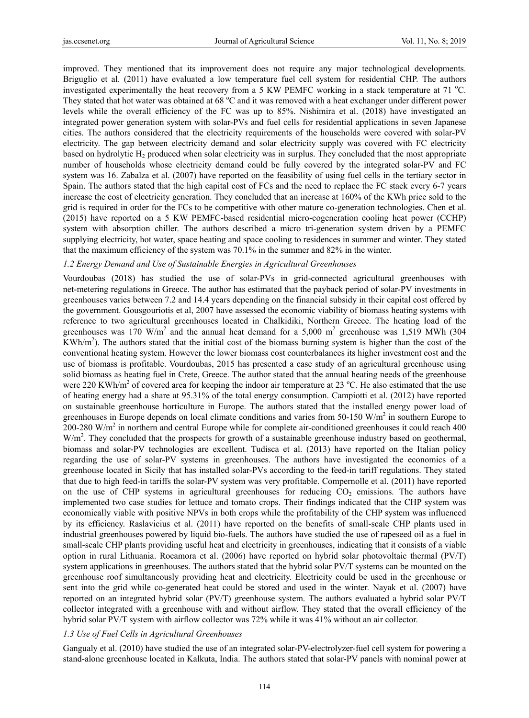improved. They mentioned that its improvement does not require any major technological developments. Briguglio et al. (2011) have evaluated a low temperature fuel cell system for residential CHP. The authors investigated experimentally the heat recovery from a 5 KW PEMFC working in a stack temperature at 71  $^{\circ}$ C. They stated that hot water was obtained at  $68 °C$  and it was removed with a heat exchanger under different power levels while the overall efficiency of the FC was up to 85%. Nishimira et al. (2018) have investigated an integrated power generation system with solar-PVs and fuel cells for residential applications in seven Japanese cities. The authors considered that the electricity requirements of the households were covered with solar-PV electricity. The gap between electricity demand and solar electricity supply was covered with FC electricity based on hydrolytic H2 produced when solar electricity was in surplus. They concluded that the most appropriate number of households whose electricity demand could be fully covered by the integrated solar-PV and FC system was 16. Zabalza et al. (2007) have reported on the feasibility of using fuel cells in the tertiary sector in Spain. The authors stated that the high capital cost of FCs and the need to replace the FC stack every 6-7 years increase the cost of electricity generation. They concluded that an increase at 160% of the KWh price sold to the grid is required in order for the FCs to be competitive with other mature co-generation technologies. Chen et al. (2015) have reported on a 5 KW PEMFC-based residential micro-cogeneration cooling heat power (CCHP) system with absorption chiller. The authors described a micro tri-generation system driven by a PEMFC supplying electricity, hot water, space heating and space cooling to residences in summer and winter. They stated that the maximum efficiency of the system was 70.1% in the summer and 82% in the winter.

#### *1.2 Energy Demand and Use of Sustainable Energies in Agricultural Greenhouses*

Vourdoubas (2018) has studied the use of solar-PVs in grid-connected agricultural greenhouses with net-metering regulations in Greece. The author has estimated that the payback period of solar-PV investments in greenhouses varies between 7.2 and 14.4 years depending on the financial subsidy in their capital cost offered by the government. Gousgouriotis et al, 2007 have assessed the economic viability of biomass heating systems with reference to two agricultural greenhouses located in Chalkidiki, Northern Greece. The heating load of the greenhouses was 170 W/m<sup>2</sup> and the annual heat demand for a 5,000 m<sup>2</sup> greenhouse was 1,519 MWh (304  $KWh/m<sup>2</sup>$ ). The authors stated that the initial cost of the biomass burning system is higher than the cost of the conventional heating system. However the lower biomass cost counterbalances its higher investment cost and the use of biomass is profitable. Vourdoubas, 2015 has presented a case study of an agricultural greenhouse using solid biomass as heating fuel in Crete, Greece. The author stated that the annual heating needs of the greenhouse were 220 KWh/m<sup>2</sup> of covered area for keeping the indoor air temperature at 23 °C. He also estimated that the use of heating energy had a share at 95.31% of the total energy consumption. Campiotti et al. (2012) have reported on sustainable greenhouse horticulture in Europe. The authors stated that the installed energy power load of greenhouses in Europe depends on local climate conditions and varies from  $50{\text -}150 \text{ W/m}^2$  in southern Europe to  $200-280$  W/m<sup>2</sup> in northern and central Europe while for complete air-conditioned greenhouses it could reach 400 W/m<sup>2</sup>. They concluded that the prospects for growth of a sustainable greenhouse industry based on geothermal, biomass and solar-PV technologies are excellent. Tudisca et al. (2013) have reported on the Italian policy regarding the use of solar-PV systems in greenhouses. The authors have investigated the economics of a greenhouse located in Sicily that has installed solar-PVs according to the feed-in tariff regulations. They stated that due to high feed-in tariffs the solar-PV system was very profitable. Compernolle et al. (2011) have reported on the use of CHP systems in agricultural greenhouses for reducing  $CO<sub>2</sub>$  emissions. The authors have implemented two case studies for lettuce and tomato crops. Their findings indicated that the CHP system was economically viable with positive NPVs in both crops while the profitability of the CHP system was influenced by its efficiency. Raslavicius et al. (2011) have reported on the benefits of small-scale CHP plants used in industrial greenhouses powered by liquid bio-fuels. The authors have studied the use of rapeseed oil as a fuel in small-scale CHP plants providing useful heat and electricity in greenhouses, indicating that it consists of a viable option in rural Lithuania. Rocamora et al. (2006) have reported on hybrid solar photovoltaic thermal (PV/T) system applications in greenhouses. The authors stated that the hybrid solar PV/T systems can be mounted on the greenhouse roof simultaneously providing heat and electricity. Electricity could be used in the greenhouse or sent into the grid while co-generated heat could be stored and used in the winter. Nayak et al. (2007) have reported on an integrated hybrid solar (PV/T) greenhouse system. The authors evaluated a hybrid solar PV/T collector integrated with a greenhouse with and without airflow. They stated that the overall efficiency of the hybrid solar PV/T system with airflow collector was 72% while it was 41% without an air collector.

#### *1.3 Use of Fuel Cells in Agricultural Greenhouses*

Gangualy et al. (2010) have studied the use of an integrated solar-PV-electrolyzer-fuel cell system for powering a stand-alone greenhouse located in Kalkuta, India. The authors stated that solar-PV panels with nominal power at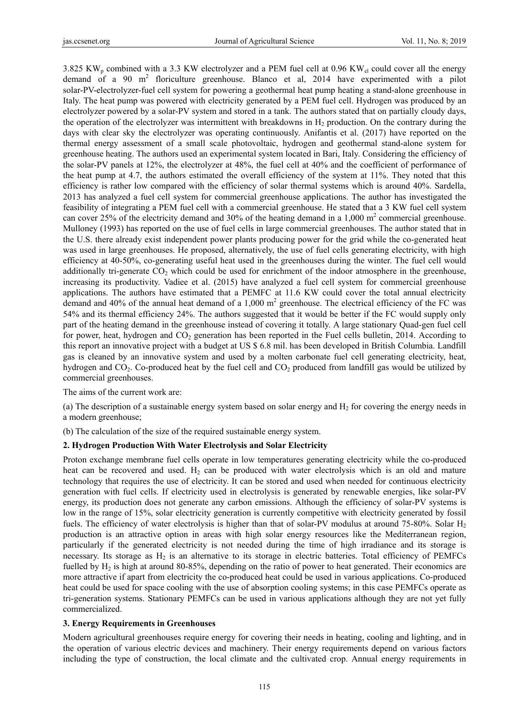3.825 KW<sub>p</sub> combined with a 3.3 KW electrolyzer and a PEM fuel cell at 0.96 KW<sub>el</sub> could cover all the energy demand of a 90  $m^2$  floriculture greenhouse. Blanco et al, 2014 have experimented with a pilot solar-PV-electrolyzer-fuel cell system for powering a geothermal heat pump heating a stand-alone greenhouse in Italy. The heat pump was powered with electricity generated by a PEM fuel cell. Hydrogen was produced by an electrolyzer powered by a solar-PV system and stored in a tank. The authors stated that on partially cloudy days, the operation of the electrolyzer was intermittent with breakdowns in  $H_2$  production. On the contrary during the days with clear sky the electrolyzer was operating continuously. Anifantis et al. (2017) have reported on the thermal energy assessment of a small scale photovoltaic, hydrogen and geothermal stand-alone system for greenhouse heating. The authors used an experimental system located in Bari, Italy. Considering the efficiency of the solar-PV panels at 12%, the electrolyzer at 48%, the fuel cell at 40% and the coefficient of performance of the heat pump at 4.7, the authors estimated the overall efficiency of the system at 11%. They noted that this efficiency is rather low compared with the efficiency of solar thermal systems which is around 40%. Sardella, 2013 has analyzed a fuel cell system for commercial greenhouse applications. The author has investigated the feasibility of integrating a PEM fuel cell with a commercial greenhouse. He stated that a 3 KW fuel cell system can cover 25% of the electricity demand and 30% of the heating demand in a 1,000  $m<sup>2</sup>$  commercial greenhouse. Mulloney (1993) has reported on the use of fuel cells in large commercial greenhouses. The author stated that in the U.S. there already exist independent power plants producing power for the grid while the co-generated heat was used in large greenhouses. He proposed, alternatively, the use of fuel cells generating electricity, with high efficiency at 40-50%, co-generating useful heat used in the greenhouses during the winter. The fuel cell would additionally tri-generate  $CO<sub>2</sub>$  which could be used for enrichment of the indoor atmosphere in the greenhouse, increasing its productivity. Vadiee et al. (2015) have analyzed a fuel cell system for commercial greenhouse applications. The authors have estimated that a PEMFC at 11.6 KW could cover the total annual electricity demand and 40% of the annual heat demand of a 1,000  $m^2$  greenhouse. The electrical efficiency of the FC was 54% and its thermal efficiency 24%. The authors suggested that it would be better if the FC would supply only part of the heating demand in the greenhouse instead of covering it totally. A large stationary Quad-gen fuel cell for power, heat, hydrogen and CO<sub>2</sub> generation has been reported in the Fuel cells bulletin, 2014. According to this report an innovative project with a budget at US \$ 6.8 mil. has been developed in British Columbia. Landfill gas is cleaned by an innovative system and used by a molten carbonate fuel cell generating electricity, heat, hydrogen and CO<sub>2</sub>. Co-produced heat by the fuel cell and CO<sub>2</sub> produced from landfill gas would be utilized by commercial greenhouses.

The aims of the current work are:

(a) The description of a sustainable energy system based on solar energy and  $H<sub>2</sub>$  for covering the energy needs in a modern greenhouse;

(b) The calculation of the size of the required sustainable energy system.

#### **2. Hydrogen Production With Water Electrolysis and Solar Electricity**

Proton exchange membrane fuel cells operate in low temperatures generating electricity while the co-produced heat can be recovered and used.  $H_2$  can be produced with water electrolysis which is an old and mature technology that requires the use of electricity. It can be stored and used when needed for continuous electricity generation with fuel cells. If electricity used in electrolysis is generated by renewable energies, like solar-PV energy, its production does not generate any carbon emissions. Although the efficiency of solar-PV systems is low in the range of 15%, solar electricity generation is currently competitive with electricity generated by fossil fuels. The efficiency of water electrolysis is higher than that of solar-PV modulus at around 75-80%. Solar  $H_2$ production is an attractive option in areas with high solar energy resources like the Mediterranean region, particularly if the generated electricity is not needed during the time of high irradiance and its storage is necessary. Its storage as  $H_2$  is an alternative to its storage in electric batteries. Total efficiency of PEMFCs fuelled by H<sub>2</sub> is high at around 80-85%, depending on the ratio of power to heat generated. Their economics are more attractive if apart from electricity the co-produced heat could be used in various applications. Co-produced heat could be used for space cooling with the use of absorption cooling systems; in this case PEMFCs operate as tri-generation systems. Stationary PEMFCs can be used in various applications although they are not yet fully commercialized.

#### **3. Energy Requirements in Greenhouses**

Modern agricultural greenhouses require energy for covering their needs in heating, cooling and lighting, and in the operation of various electric devices and machinery. Their energy requirements depend on various factors including the type of construction, the local climate and the cultivated crop. Annual energy requirements in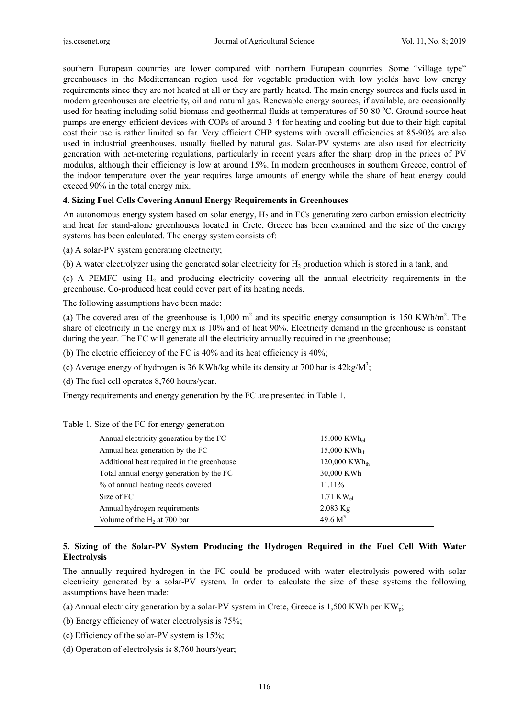southern European countries are lower compared with northern European countries. Some "village type" greenhouses in the Mediterranean region used for vegetable production with low yields have low energy requirements since they are not heated at all or they are partly heated. The main energy sources and fuels used in modern greenhouses are electricity, oil and natural gas. Renewable energy sources, if available, are occasionally used for heating including solid biomass and geothermal fluids at temperatures of 50-80 °C. Ground source heat pumps are energy-efficient devices with COPs of around 3-4 for heating and cooling but due to their high capital cost their use is rather limited so far. Very efficient CHP systems with overall efficiencies at 85-90% are also used in industrial greenhouses, usually fuelled by natural gas. Solar-PV systems are also used for electricity generation with net-metering regulations, particularly in recent years after the sharp drop in the prices of PV modulus, although their efficiency is low at around 15%. In modern greenhouses in southern Greece, control of the indoor temperature over the year requires large amounts of energy while the share of heat energy could exceed 90% in the total energy mix.

## **4. Sizing Fuel Cells Covering Annual Energy Requirements in Greenhouses**

An autonomous energy system based on solar energy,  $H_2$  and in FCs generating zero carbon emission electricity and heat for stand-alone greenhouses located in Crete, Greece has been examined and the size of the energy systems has been calculated. The energy system consists of:

(a) A solar-PV system generating electricity;

(b) A water electrolyzer using the generated solar electricity for  $H_2$  production which is stored in a tank, and

(c) A PEMFC using  $H_2$  and producing electricity covering all the annual electricity requirements in the greenhouse. Co-produced heat could cover part of its heating needs.

The following assumptions have been made:

(a) The covered area of the greenhouse is  $1,000 \text{ m}^2$  and its specific energy consumption is 150 KWh/m<sup>2</sup>. The share of electricity in the energy mix is 10% and of heat 90%. Electricity demand in the greenhouse is constant during the year. The FC will generate all the electricity annually required in the greenhouse;

(b) The electric efficiency of the FC is 40% and its heat efficiency is 40%;

(c) Average energy of hydrogen is 36 KWh/kg while its density at 700 bar is  $42 \text{kg/M}^3$ ;

(d) The fuel cell operates 8,760 hours/year.

Energy requirements and energy generation by the FC are presented in Table 1.

| Annual electricity generation by the FC    | 15.000 KWh <sub>el</sub>    |  |
|--------------------------------------------|-----------------------------|--|
| Annual heat generation by the FC           | $15,000$ KWh <sub>th</sub>  |  |
| Additional heat required in the greenhouse | $120,000$ KWh <sub>th</sub> |  |
| Total annual energy generation by the FC   | 30,000 KWh                  |  |
| % of annual heating needs covered          | 11.11%                      |  |
| Size of FC                                 | 1.71 $KW_{el}$              |  |
| Annual hydrogen requirements               | $2.083$ Kg                  |  |
| Volume of the $H_2$ at 700 bar             | 49.6 $M^3$                  |  |

## Table 1. Size of the FC for energy generation

# **5. Sizing of the Solar-PV System Producing the Hydrogen Required in the Fuel Cell With Water Electrolysis**

The annually required hydrogen in the FC could be produced with water electrolysis powered with solar electricity generated by a solar-PV system. In order to calculate the size of these systems the following assumptions have been made:

(a) Annual electricity generation by a solar-PV system in Crete, Greece is 1,500 KWh per KW<sub>p</sub>;

(b) Energy efficiency of water electrolysis is 75%;

(c) Efficiency of the solar-PV system is 15%;

(d) Operation of electrolysis is 8,760 hours/year;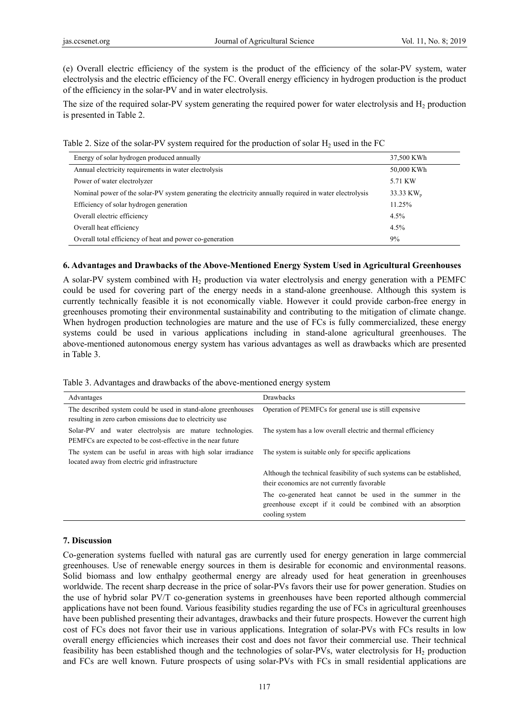(e) Overall electric efficiency of the system is the product of the efficiency of the solar-PV system, water electrolysis and the electric efficiency of the FC. Overall energy efficiency in hydrogen production is the product of the efficiency in the solar-PV and in water electrolysis.

The size of the required solar-PV system generating the required power for water electrolysis and  $H_2$  production is presented in Table 2.

| Table 2. Size of the solar-PV system required for the production of solar $H_2$ used in the FC |  |  |  |
|------------------------------------------------------------------------------------------------|--|--|--|
|------------------------------------------------------------------------------------------------|--|--|--|

| Energy of solar hydrogen produced annually                                                              | 37,500 KWh            |
|---------------------------------------------------------------------------------------------------------|-----------------------|
| Annual electricity requirements in water electrolysis                                                   | 50,000 KWh            |
| Power of water electrolyzer                                                                             | 5.71 KW               |
| Nominal power of the solar-PV system generating the electricity annually required in water electrolysis | 33.33 KW <sub>p</sub> |
| Efficiency of solar hydrogen generation                                                                 | $11.25\%$             |
| Overall electric efficiency                                                                             | 4.5%                  |
| Overall heat efficiency                                                                                 | 4.5%                  |
| Overall total efficiency of heat and power co-generation                                                | 9%                    |

## **6. Advantages and Drawbacks of the Above-Mentioned Energy System Used in Agricultural Greenhouses**

A solar-PV system combined with  $H<sub>2</sub>$  production via water electrolysis and energy generation with a PEMFC could be used for covering part of the energy needs in a stand-alone greenhouse. Although this system is currently technically feasible it is not economically viable. However it could provide carbon-free energy in greenhouses promoting their environmental sustainability and contributing to the mitigation of climate change. When hydrogen production technologies are mature and the use of FCs is fully commercialized, these energy systems could be used in various applications including in stand-alone agricultural greenhouses. The above-mentioned autonomous energy system has various advantages as well as drawbacks which are presented in Table 3.

Table 3. Advantages and drawbacks of the above-mentioned energy system

| Advantages                                                                                                                 | Drawbacks                                                                                                                                   |
|----------------------------------------------------------------------------------------------------------------------------|---------------------------------------------------------------------------------------------------------------------------------------------|
| The described system could be used in stand-alone greenhouses<br>resulting in zero carbon emissions due to electricity use | Operation of PEMFCs for general use is still expensive                                                                                      |
| Solar-PV and water electrolysis are mature technologies.<br>PEMFCs are expected to be cost-effective in the near future    | The system has a low overall electric and thermal efficiency                                                                                |
| The system can be useful in areas with high solar irradiance<br>located away from electric grid infrastructure             | The system is suitable only for specific applications                                                                                       |
|                                                                                                                            | Although the technical feasibility of such systems can be established,<br>their economics are not currently favorable                       |
|                                                                                                                            | The co-generated heat cannot be used in the summer in the<br>greenhouse except if it could be combined with an absorption<br>cooling system |

## **7. Discussion**

Co-generation systems fuelled with natural gas are currently used for energy generation in large commercial greenhouses. Use of renewable energy sources in them is desirable for economic and environmental reasons. Solid biomass and low enthalpy geothermal energy are already used for heat generation in greenhouses worldwide. The recent sharp decrease in the price of solar-PVs favors their use for power generation. Studies on the use of hybrid solar PV/T co-generation systems in greenhouses have been reported although commercial applications have not been found. Various feasibility studies regarding the use of FCs in agricultural greenhouses have been published presenting their advantages, drawbacks and their future prospects. However the current high cost of FCs does not favor their use in various applications. Integration of solar-PVs with FCs results in low overall energy efficiencies which increases their cost and does not favor their commercial use. Their technical feasibility has been established though and the technologies of solar-PVs, water electrolysis for  $H_2$  production and FCs are well known. Future prospects of using solar-PVs with FCs in small residential applications are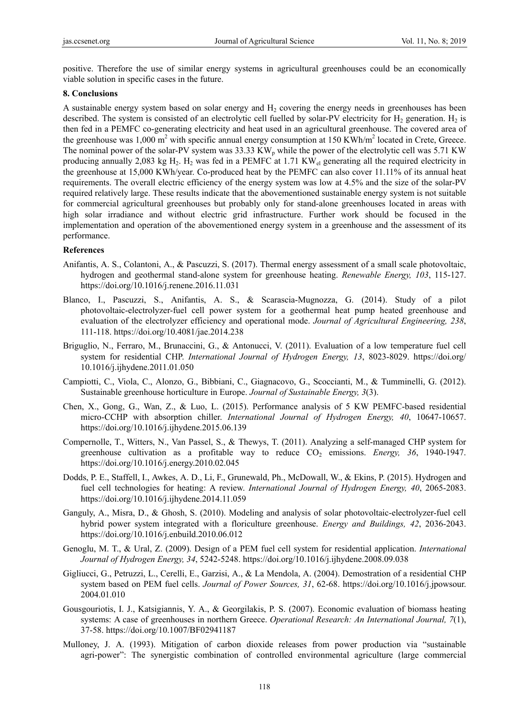positive. Therefore the use of similar energy systems in agricultural greenhouses could be an economically viable solution in specific cases in the future.

#### **8. Conclusions**

A sustainable energy system based on solar energy and  $H<sub>2</sub>$  covering the energy needs in greenhouses has been described. The system is consisted of an electrolytic cell fuelled by solar-PV electricity for  $H_2$  generation.  $H_2$  is then fed in a PEMFC co-generating electricity and heat used in an agricultural greenhouse. The covered area of the greenhouse was 1,000 m<sup>2</sup> with specific annual energy consumption at 150 KWh/m<sup>2</sup> located in Crete, Greece. The nominal power of the solar-PV system was  $33.33 \text{ KW}_p$  while the power of the electrolytic cell was  $5.71 \text{ KW}$ producing annually 2,083 kg H<sub>2</sub>. H<sub>2</sub> was fed in a PEMFC at 1.71 KW<sub>el</sub> generating all the required electricity in the greenhouse at 15,000 KWh/year. Co-produced heat by the PEMFC can also cover 11.11% of its annual heat requirements. The overall electric efficiency of the energy system was low at 4.5% and the size of the solar-PV required relatively large. These results indicate that the abovementioned sustainable energy system is not suitable for commercial agricultural greenhouses but probably only for stand-alone greenhouses located in areas with high solar irradiance and without electric grid infrastructure. Further work should be focused in the implementation and operation of the abovementioned energy system in a greenhouse and the assessment of its performance.

#### **References**

- Anifantis, A. S., Colantoni, A., & Pascuzzi, S. (2017). Thermal energy assessment of a small scale photovoltaic, hydrogen and geothermal stand-alone system for greenhouse heating. *Renewable Energy, 103*, 115-127. https://doi.org/10.1016/j.renene.2016.11.031
- Blanco, I., Pascuzzi, S., Anifantis, A. S., & Scarascia-Mugnozza, G. (2014). Study of a pilot photovoltaic-electrolyzer-fuel cell power system for a geothermal heat pump heated greenhouse and evaluation of the electrolyzer efficiency and operational mode. *Journal of Agricultural Engineering, 238*, 111-118. https://doi.org/10.4081/jae.2014.238
- Briguglio, N., Ferraro, M., Brunaccini, G., & Antonucci, V. (2011). Evaluation of a low temperature fuel cell system for residential CHP. *International Journal of Hydrogen Energy, 13*, 8023-8029. https://doi.org/ 10.1016/j.ijhydene.2011.01.050
- Campiotti, C., Viola, C., Alonzo, G., Bibbiani, C., Giagnacovo, G., Scoccianti, M., & Tumminelli, G. (2012). Sustainable greenhouse horticulture in Europe. *Journal of Sustainable Energy, 3*(3).
- Chen, X., Gong, G., Wan, Z., & Luo, L. (2015). Performance analysis of 5 KW PEMFC-based residential micro-CCHP with absorption chiller. *International Journal of Hydrogen Energy, 40*, 10647-10657. https://doi.org/10.1016/j.ijhydene.2015.06.139
- Compernolle, T., Witters, N., Van Passel, S., & Thewys, T. (2011). Analyzing a self-managed CHP system for greenhouse cultivation as a profitable way to reduce  $CO<sub>2</sub>$  emissions. *Energy, 36*, 1940-1947. https://doi.org/10.1016/j.energy.2010.02.045
- Dodds, P. E., Staffell, I., Awkes, A. D., Li, F., Grunewald, Ph., McDowall, W., & Ekins, P. (2015). Hydrogen and fuel cell technologies for heating: A review. *International Journal of Hydrogen Energy, 40*, 2065-2083. https://doi.org/10.1016/j.ijhydene.2014.11.059
- Ganguly, A., Misra, D., & Ghosh, S. (2010). Modeling and analysis of solar photovoltaic-electrolyzer-fuel cell hybrid power system integrated with a floriculture greenhouse. *Energy and Buildings, 42*, 2036-2043. https://doi.org/10.1016/j.enbuild.2010.06.012
- Genoglu, M. T., & Ural, Z. (2009). Design of a PEM fuel cell system for residential application. *International Journal of Hydrogen Energy, 34*, 5242-5248. https://doi.org/10.1016/j.ijhydene.2008.09.038
- Gigliucci, G., Petruzzi, L., Cerelli, E., Garzisi, A., & La Mendola, A. (2004). Demostration of a residential CHP system based on PEM fuel cells. *Journal of Power Sources, 31*, 62-68. https://doi.org/10.1016/j.jpowsour. 2004.01.010
- Gousgouriotis, I. J., Katsigiannis, Y. A., & Georgilakis, P. S. (2007). Economic evaluation of biomass heating systems: A case of greenhouses in northern Greece. *Operational Research: An International Journal, 7*(1), 37-58. https://doi.org/10.1007/BF02941187
- Mulloney, J. A. (1993). Mitigation of carbon dioxide releases from power production via "sustainable agri-power": The synergistic combination of controlled environmental agriculture (large commercial